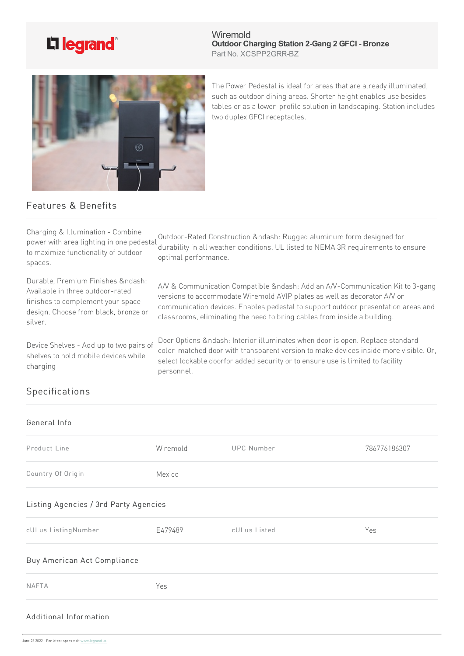

**Wiremold Outdoor Charging Station 2-Gang 2 GFCI - Bronze** Part No. XCSPP2GRR-BZ



The Power Pedestal is ideal for areas that are already illuminated, such as outdoor dining areas. Shorter height enables use besides tables or as a lower-profile solution in landscaping. Station includes two duplex GFCI receptacles.

## Features & Benefits

| Charging & Illumination - Combine<br>power with area lighting in one pedestal<br>to maximize functionality of outdoor<br>spaces.                         | Outdoor-Rated Construction –: Rugged aluminum form designed for<br>durability in all weather conditions. UL listed to NEMA 3R requirements to ensure<br>optimal performance.                                                                                                                                          |
|----------------------------------------------------------------------------------------------------------------------------------------------------------|-----------------------------------------------------------------------------------------------------------------------------------------------------------------------------------------------------------------------------------------------------------------------------------------------------------------------|
| Durable, Premium Finishes –:<br>Available in three outdoor-rated<br>finishes to complement your space<br>design. Choose from black, bronze or<br>silver. | A/V & Communication Compatible –: Add an A/V-Communication Kit to 3-gang<br>versions to accommodate Wiremold AVIP plates as well as decorator A/V or<br>communication devices. Enables pedestal to support outdoor presentation areas and<br>classrooms, eliminating the need to bring cables from inside a building. |
| Device Shelves - Add up to two pairs of<br>shelves to hold mobile devices while<br>charging                                                              | Door Options & ndash: Interior illuminates when door is open. Replace standard<br>color-matched door with transparent version to make devices inside more visible. Or,<br>select lockable doorfor added security or to ensure use is limited to facility<br>personnel.                                                |
| Specifications                                                                                                                                           |                                                                                                                                                                                                                                                                                                                       |
|                                                                                                                                                          |                                                                                                                                                                                                                                                                                                                       |

| General Info                          |          |                   |              |
|---------------------------------------|----------|-------------------|--------------|
| Product Line                          | Wiremold | <b>UPC Number</b> | 786776186307 |
| Country Of Origin                     | Mexico   |                   |              |
| Listing Agencies / 3rd Party Agencies |          |                   |              |
| cULus ListingNumber                   | E479489  | cULus Listed      | Yes          |
| Buy American Act Compliance           |          |                   |              |
| <b>NAFTA</b>                          | Yes      |                   |              |
| Additional Information                |          |                   |              |